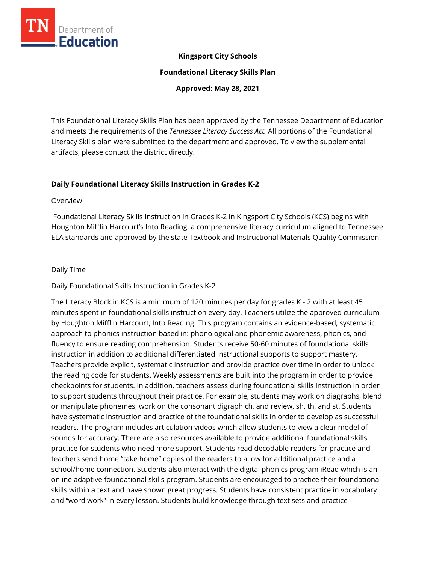

# **Kingsport City Schools**

**Foundational Literacy Skills Plan**

**Approved: May 28, 2021**

This Foundational Literacy Skills Plan has been approved by the Tennessee Department of Education and meets the requirements of the *Tennessee Literacy Success Act.* All portions of the Foundational Literacy Skills plan were submitted to the department and approved. To view the supplemental artifacts, please contact the district directly.

# **Daily Foundational Literacy Skills Instruction in Grades K-2**

#### Overview

Foundational Literacy Skills Instruction in Grades K-2 in Kingsport City Schools (KCS) begins with Houghton Mifflin Harcourt's Into Reading, a comprehensive literacy curriculum aligned to Tennessee ELA standards and approved by the state Textbook and Instructional Materials Quality Commission.

### Daily Time

## Daily Foundational Skills Instruction in Grades K-2

The Literacy Block in KCS is a minimum of 120 minutes per day for grades K - 2 with at least 45 minutes spent in foundational skills instruction every day. Teachers utilize the approved curriculum by Houghton Mifflin Harcourt, Into Reading. This program contains an evidence-based, systematic approach to phonics instruction based in: phonological and phonemic awareness, phonics, and fluency to ensure reading comprehension. Students receive 50-60 minutes of foundational skills instruction in addition to additional differentiated instructional supports to support mastery. Teachers provide explicit, systematic instruction and provide practice over time in order to unlock the reading code for students. Weekly assessments are built into the program in order to provide checkpoints for students. In addition, teachers assess during foundational skills instruction in order to support students throughout their practice. For example, students may work on diagraphs, blend or manipulate phonemes, work on the consonant digraph ch, and review, sh, th, and st. Students have systematic instruction and practice of the foundational skills in order to develop as successful readers. The program includes articulation videos which allow students to view a clear model of sounds for accuracy. There are also resources available to provide additional foundational skills practice for students who need more support. Students read decodable readers for practice and teachers send home "take home" copies of the readers to allow for additional practice and a school/home connection. Students also interact with the digital phonics program iRead which is an online adaptive foundational skills program. Students are encouraged to practice their foundational skills within a text and have shown great progress. Students have consistent practice in vocabulary and "word work" in every lesson. Students build knowledge through text sets and practice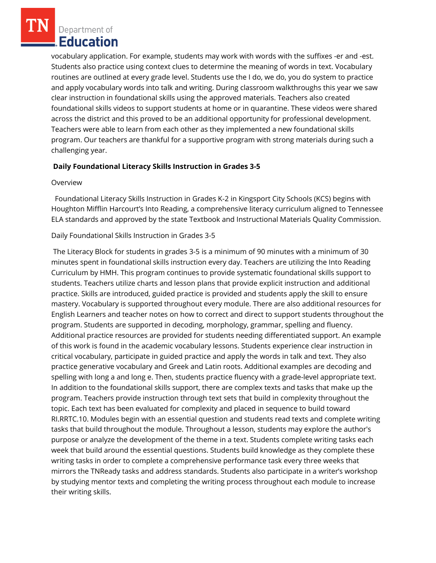vocabulary application. For example, students may work with words with the suffixes -er and -est. Students also practice using context clues to determine the meaning of words in text. Vocabulary routines are outlined at every grade level. Students use the I do, we do, you do system to practice and apply vocabulary words into talk and writing. During classroom walkthroughs this year we saw clear instruction in foundational skills using the approved materials. Teachers also created foundational skills videos to support students at home or in quarantine. These videos were shared across the district and this proved to be an additional opportunity for professional development. Teachers were able to learn from each other as they implemented a new foundational skills program. Our teachers are thankful for a supportive program with strong materials during such a challenging year.

# **Daily Foundational Literacy Skills Instruction in Grades 3-5**

### Overview

 Foundational Literacy Skills Instruction in Grades K-2 in Kingsport City Schools (KCS) begins with Houghton Mifflin Harcourt's Into Reading, a comprehensive literacy curriculum aligned to Tennessee ELA standards and approved by the state Textbook and Instructional Materials Quality Commission.

Daily Foundational Skills Instruction in Grades 3-5

The Literacy Block for students in grades 3-5 is a minimum of 90 minutes with a minimum of 30 minutes spent in foundational skills instruction every day. Teachers are utilizing the Into Reading Curriculum by HMH. This program continues to provide systematic foundational skills support to students. Teachers utilize charts and lesson plans that provide explicit instruction and additional practice. Skills are introduced, guided practice is provided and students apply the skill to ensure mastery. Vocabulary is supported throughout every module. There are also additional resources for English Learners and teacher notes on how to correct and direct to support students throughout the program. Students are supported in decoding, morphology, grammar, spelling and fluency. Additional practice resources are provided for students needing differentiated support. An example of this work is found in the academic vocabulary lessons. Students experience clear instruction in critical vocabulary, participate in guided practice and apply the words in talk and text. They also practice generative vocabulary and Greek and Latin roots. Additional examples are decoding and spelling with long a and long e. Then, students practice fluency with a grade-level appropriate text. In addition to the foundational skills support, there are complex texts and tasks that make up the program. Teachers provide instruction through text sets that build in complexity throughout the topic. Each text has been evaluated for complexity and placed in sequence to build toward RI.RRTC.10. Modules begin with an essential question and students read texts and complete writing tasks that build throughout the module. Throughout a lesson, students may explore the author's purpose or analyze the development of the theme in a text. Students complete writing tasks each week that build around the essential questions. Students build knowledge as they complete these writing tasks in order to complete a comprehensive performance task every three weeks that mirrors the TNReady tasks and address standards. Students also participate in a writer's workshop by studying mentor texts and completing the writing process throughout each module to increase their writing skills.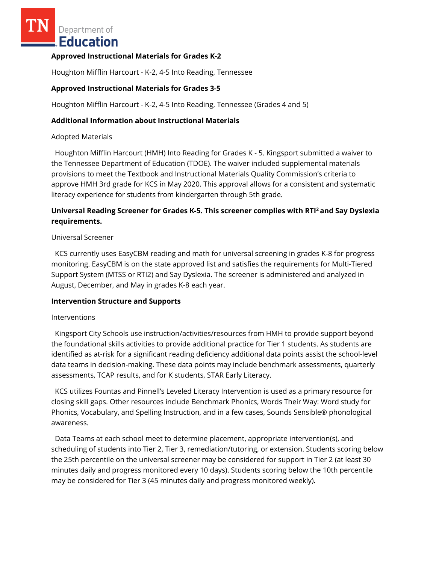### **Approved Instructional Materials for Grades K-2**

Houghton Mifflin Harcourt - K-2, 4-5 Into Reading, Tennessee

## **Approved Instructional Materials for Grades 3-5**

Houghton Mifflin Harcourt - K-2, 4-5 Into Reading, Tennessee (Grades 4 and 5)

### **Additional Information about Instructional Materials**

### Adopted Materials

 Houghton Mifflin Harcourt (HMH) Into Reading for Grades K - 5. Kingsport submitted a waiver to the Tennessee Department of Education (TDOE). The waiver included supplemental materials provisions to meet the Textbook and Instructional Materials Quality Commission's criteria to approve HMH 3rd grade for KCS in May 2020. This approval allows for a consistent and systematic literacy experience for students from kindergarten through 5th grade.

# **Universal Reading Screener for Grades K-5. This screener complies with RTI<sup>2</sup>and Say Dyslexia requirements.**

### Universal Screener

 KCS currently uses EasyCBM reading and math for universal screening in grades K-8 for progress monitoring. EasyCBM is on the state approved list and satisfies the requirements for Multi-Tiered Support System (MTSS or RTI2) and Say Dyslexia. The screener is administered and analyzed in August, December, and May in grades K-8 each year.

### **Intervention Structure and Supports**

### **Interventions**

 Kingsport City Schools use instruction/activities/resources from HMH to provide support beyond the foundational skills activities to provide additional practice for Tier 1 students. As students are identified as at-risk for a significant reading deficiency additional data points assist the school-level data teams in decision-making. These data points may include benchmark assessments, quarterly assessments, TCAP results, and for K students, STAR Early Literacy.

 KCS utilizes Fountas and Pinnell's Leveled Literacy Intervention is used as a primary resource for closing skill gaps. Other resources include Benchmark Phonics, Words Their Way: Word study for Phonics, Vocabulary, and Spelling Instruction, and in a few cases, Sounds Sensible® phonological awareness.

 Data Teams at each school meet to determine placement, appropriate intervention(s), and scheduling of students into Tier 2, Tier 3, remediation/tutoring, or extension. Students scoring below the 25th percentile on the universal screener may be considered for support in Tier 2 (at least 30 minutes daily and progress monitored every 10 days). Students scoring below the 10th percentile may be considered for Tier 3 (45 minutes daily and progress monitored weekly).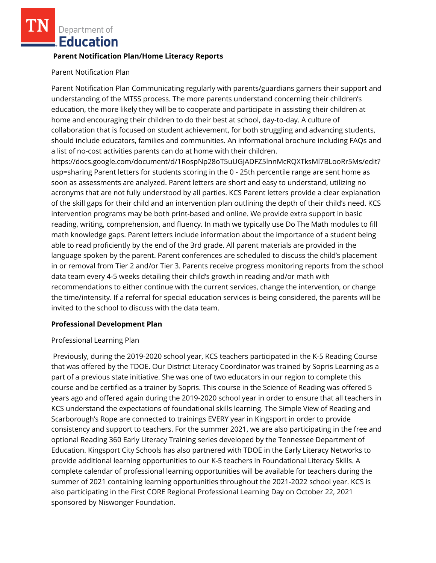## **Parent Notification Plan/Home Literacy Reports**

### Parent Notification Plan

Parent Notification Plan Communicating regularly with parents/guardians garners their support and understanding of the MTSS process. The more parents understand concerning their children's education, the more likely they will be to cooperate and participate in assisting their children at home and encouraging their children to do their best at school, day-to-day. A culture of collaboration that is focused on student achievement, for both struggling and advancing students, should include educators, families and communities. An informational brochure including FAQs and a list of no-cost activities parents can do at home with their children.

https://docs.google.com/document/d/1RospNp28oT5uUGJADFZ5lnnMcRQXTksMl7BLooRr5Ms/edit? usp=sharing Parent letters for students scoring in the 0 - 25th percentile range are sent home as soon as assessments are analyzed. Parent letters are short and easy to understand, utilizing no acronyms that are not fully understood by all parties. KCS Parent letters provide a clear explanation of the skill gaps for their child and an intervention plan outlining the depth of their child's need. KCS intervention programs may be both print-based and online. We provide extra support in basic reading, writing, comprehension, and fluency. In math we typically use Do The Math modules to fill math knowledge gaps. Parent letters include information about the importance of a student being able to read proficiently by the end of the 3rd grade. All parent materials are provided in the language spoken by the parent. Parent conferences are scheduled to discuss the child's placement in or removal from Tier 2 and/or Tier 3. Parents receive progress monitoring reports from the school data team every 4-5 weeks detailing their child's growth in reading and/or math with recommendations to either continue with the current services, change the intervention, or change the time/intensity. If a referral for special education services is being considered, the parents will be invited to the school to discuss with the data team.

# **Professional Development Plan**

# Professional Learning Plan

Previously, during the 2019-2020 school year, KCS teachers participated in the K-5 Reading Course that was offered by the TDOE. Our District Literacy Coordinator was trained by Sopris Learning as a part of a previous state initiative. She was one of two educators in our region to complete this course and be certified as a trainer by Sopris. This course in the Science of Reading was offered 5 years ago and offered again during the 2019-2020 school year in order to ensure that all teachers in KCS understand the expectations of foundational skills learning. The Simple View of Reading and Scarborough's Rope are connected to trainings EVERY year in Kingsport in order to provide consistency and support to teachers. For the summer 2021, we are also participating in the free and optional Reading 360 Early Literacy Training series developed by the Tennessee Department of Education. Kingsport City Schools has also partnered with TDOE in the Early Literacy Networks to provide additional learning opportunities to our K-5 teachers in Foundational Literacy Skills. A complete calendar of professional learning opportunities will be available for teachers during the summer of 2021 containing learning opportunities throughout the 2021-2022 school year. KCS is also participating in the First CORE Regional Professional Learning Day on October 22, 2021 sponsored by Niswonger Foundation.